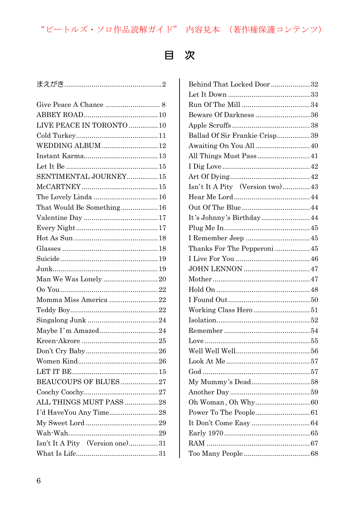## "ビートルズ・ソロ作品読解ガイド"内容見本 (著作権保護コンテンツ)

## $\blacksquare$

| LIVE PEACE IN TORONTO  10       |
|---------------------------------|
|                                 |
| WEDDING ALBUM12                 |
|                                 |
|                                 |
| SENTIMENTAL JOURNEY 15          |
|                                 |
| The Lovely Linda  16            |
| That Would Be Something16       |
|                                 |
|                                 |
|                                 |
|                                 |
|                                 |
|                                 |
| Man We Was Lonely 20            |
|                                 |
| Momma Miss America 22           |
|                                 |
|                                 |
| Maybe I'm Amazed24              |
|                                 |
|                                 |
|                                 |
|                                 |
| BEAUCOUPS OF BLUES 27           |
|                                 |
| ALL THINGS MUST PASS 28         |
| I'd HaveYou Any Time28          |
|                                 |
|                                 |
| Isn't It A Pity (Version one)31 |
|                                 |
|                                 |

| Behind That Locked Door  32     |
|---------------------------------|
|                                 |
|                                 |
| Beware Of Darkness 36           |
|                                 |
| Ballad Of Sir Frankie Crisp39   |
|                                 |
| All Things Must Pass 41         |
|                                 |
|                                 |
| Isn't It A Pity (Version two)43 |
|                                 |
|                                 |
| It's Johnny's Birthday 44       |
|                                 |
|                                 |
| Thanks For The Pepperoni  45    |
|                                 |
|                                 |
|                                 |
|                                 |
|                                 |
|                                 |
|                                 |
|                                 |
|                                 |
|                                 |
|                                 |
|                                 |
|                                 |
|                                 |
|                                 |
|                                 |
|                                 |
|                                 |
|                                 |
|                                 |